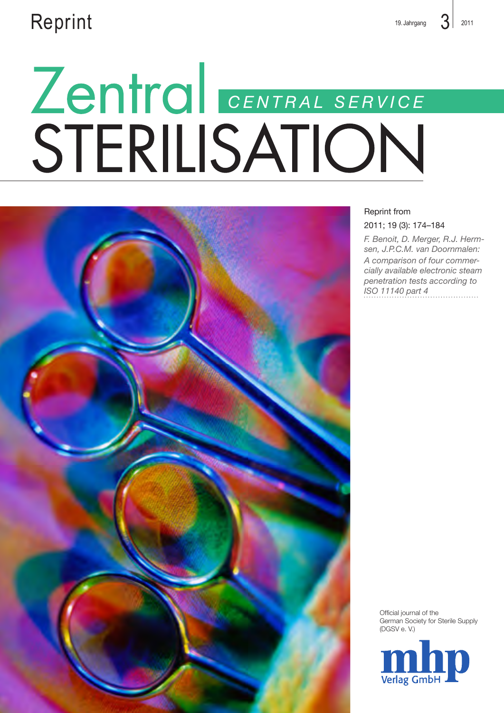# $\mathsf{Reprint}$  3 2011

# Zentral CENTRAL SERVICE<br>STERILISATION



## Reprint from

2011; 19 (3): 174–184

*F. Benoit, D. Merger, R.J. Hermsen, J.P.C.M. van Doornmalen: A comparison of four commercially available electronic steam penetration tests according to ISO 11140 part 4*

> Official journal of the German Society for Sterile Supply (DGSV e. V.)

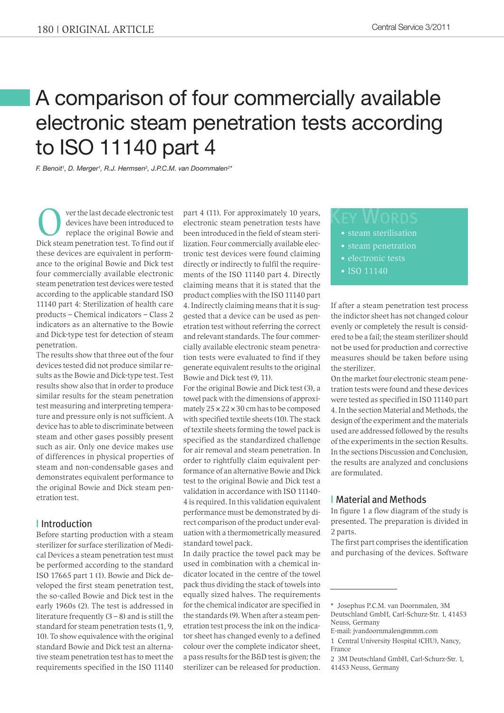# A comparison of four commercially available electronic steam penetration tests according to ISO 11140 part 4

*F. Benoit1 , D. Merger1 , R.J. Hermsen2 , J.P.C.M. van Doornmalen2 \**

**Over the last decade electronic test**<br>devices have been introduced to<br>replace the original Bowie and<br>Disk steam papatration test. To find out if devices have been introduced to Dick steam penetration test. To find out if these devices are equivalent in performance to the original Bowie and Dick test four commercially available electronic steam penetration test devices were tested according to the applicable standard ISO 11140 part 4: Sterilization of health care products – Chemical indicators – Class 2 indicators as an alternative to the Bowie and Dick-type test for detection of steam penetration.

The results show that three out of the four devices tested did not produce similar results as the Bowie and Dick-type test. Test results show also that in order to produce similar results for the steam penetration test measuring and interpreting temperature and pressure only is not sufficient. A device has to able to discriminate between steam and other gases possibly present such as air. Only one device makes use of differences in physical properties of steam and non-condensable gases and demonstrates equivalent performance to the original Bowie and Dick steam penetration test.

### **|** Introduction

Before starting production with a steam sterilizer for surface sterilization of Medical Devices a steam penetration test must be performed according to the standard ISO 17665 part 1 (1). Bowie and Dick developed the first steam penetration test, the so-called Bowie and Dick test in the early 1960s (2). The test is addressed in literature frequently  $(3 - 8)$  and is still the standard for steam penetration tests (1, 9, 10). To show equivalence with the original standard Bowie and Dick test an alternative steam penetration test has to meet the requirements specified in the ISO 11140 part 4 (11). For approximately 10 years, electronic steam penetration tests have been introduced in the field of steam sterilization. Four commercially available electronic test devices were found claiming directly or indirectly to fulfil the requirements of the ISO 11140 part 4. Directly claiming means that it is stated that the product complies with the ISO 11140 part 4. Indirectly claiming means that it is suggested that a device can be used as penetration test without referring the correct and relevant standards. The four commercially available electronic steam penetration tests were evaluated to find if they generate equivalent results to the original Bowie and Dick test (9, 11).

For the original Bowie and Dick test (3), a towel pack with the dimensions of approximately  $25 \times 22 \times 30$  cm has to be composed with specified textile sheets (10). The stack of textile sheets forming the towel pack is specified as the standardized challenge for air removal and steam penetration. In order to rightfully claim equivalent performance of an alternative Bowie and Dick test to the original Bowie and Dick test a validation in accordance with ISO 11140- 4 is required. In this validation equivalent performance must be demonstrated by direct comparison of the product under evaluation with a thermometrically measured standard towel pack.

In daily practice the towel pack may be used in combination with a chemical indicator located in the centre of the towel pack thus dividing the stack of towels into equally sized halves. The requirements for the chemical indicator are specified in the standards (9). When after a steam penetration test process the ink on the indicator sheet has changed evenly to a defined colour over the complete indicator sheet, a pass results for the B&D test is given; the sterilizer can be released for production.

- steam sterilisation
- steam penetration
- electronic tests
- ISO 11140

If after a steam penetration test process the indictor sheet has not changed colour evenly or completely the result is considered to be a fail; the steam sterilizer should not be used for production and corrective measures should be taken before using the sterilizer.

On the market four electronic steam penetration tests were found and these devices were tested as specified in ISO 11140 part 4. In the section Material and Methods, the design of the experiment and the materials used are addressed followed by the results of the experiments in the section Results. In the sections Discussion and Conclusion, the results are analyzed and conclusions are formulated.

### **|** Material and Methods

In figure 1 a flow diagram of the study is presented. The preparation is divided in 2 parts.

The first part comprises the identification and purchasing of the devices. Software

<sup>\*</sup> Josephus P.C.M. van Doornmalen, 3M Deutschland GmbH, Carl-Schurz-Str. 1, 41453 Neuss, Germany

E-mail: jvandoornmalen@mmm.com

<sup>1</sup> Central University Hospital (CHU), Nancy, France

<sup>2</sup> 3M Deutschland GmbH, Carl-Schurz-Str. 1, 41453 Neuss, Germany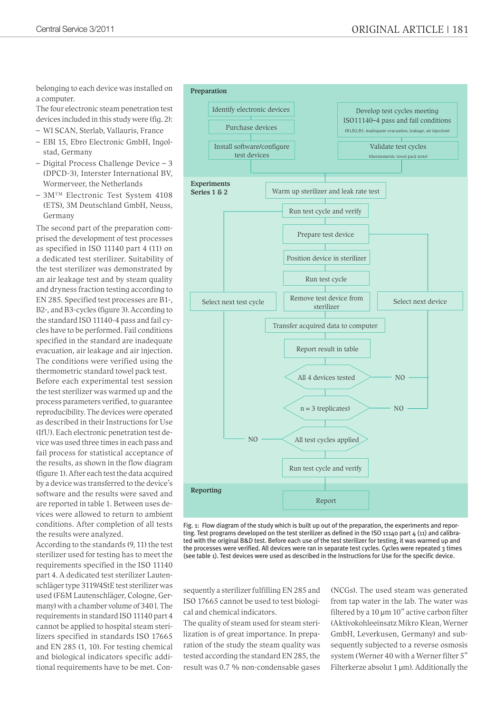belonging to each device was installed on a computer.

The four electronic steam penetration test

devices included in this study were (fig. 2):

– WI SCAN, Sterlab, Vallauris, France

- EBI 15, Ebro Electronic GmbH, Ingolstad, Germany
- Digital Process Challenge Device 3 (DPCD-3), Interster International BV, Wormerveer, the Netherlands
- 3MTM Electronic Test System 4108 (ETS), 3M Deutschland GmbH, Neuss, Germany

The second part of the preparation comprised the development of test processes as specified in ISO 11140 part 4 (11) on a dedicated test sterilizer. Suitability of the test sterilizer was demonstrated by an air leakage test and by steam quality and dryness fraction testing according to EN 285. Specified test processes are B1-, B2-, and B3-cycles (figure 3). According to the standard ISO 11140-4 pass and fail cycles have to be performed. Fail conditions specified in the standard are inadequate evacuation, air leakage and air injection. The conditions were verified using the thermometric standard towel pack test.

Before each experimental test session the test sterilizer was warmed up and the process parameters verified, to guarantee reproducibility. The devices were operated as described in their Instructions for Use (IfU). Each electronic penetration test device was used three times in each pass and fail process for statistical acceptance of the results, as shown in the flow diagram (figure 1). After each test the data acquired by a device was transferred to the device's software and the results were saved and are reported in table 1. Between uses devices were allowed to return to ambient conditions. After completion of all tests the results were analyzed.

According to the standards (9, 11) the test sterilizer used for testing has to meet the requirements specified in the ISO 11140 part 4. A dedicated test sterilizer Lautenschläger type 3119/4StE test sterilizer was used (F&M Lautenschläger, Cologne, Germany) with a chamber volume of 340 l. The requirements in standard ISO 11140 part 4 cannot be applied to hospital steam sterilizers specified in standards ISO 17665 and EN 285 (1, 10). For testing chemical and biological indicators specific additional requirements have to be met. Con-



Fig. 1: Flow diagram of the study which is built up out of the preparation, the experiments and reporting. Test programs developed on the test sterilizer as defined in the ISO 11140 part 4 (11) and calibrated with the original B&D test. Before each use of the test sterilizer for testing, it was warmed up and the processes were verified. All devices were ran in separate test cycles. Cycles were repeated 3 times (see table 1). Test devices were used as described in the Instructions for Use for the specific device.

sequently a sterilizer fulfilling EN 285 and ISO 17665 cannot be used to test biological and chemical indicators.

The quality of steam used for steam sterilization is of great importance. In preparation of the study the steam quality was tested according the standard EN 285, the result was 0.7 % non-condensable gases (NCGs). The used steam was generated from tap water in the lab. The water was filtered by a 10  $\mu$ m 10" active carbon filter (Aktivokohleeinsatz Mikro Klean, Werner GmbH, Leverkusen, Germany) and subsequently subjected to a reverse osmosis system (Werner 40 with a Werner filter 5" Filterkerze absolut  $1 \mu m$ ). Additionally the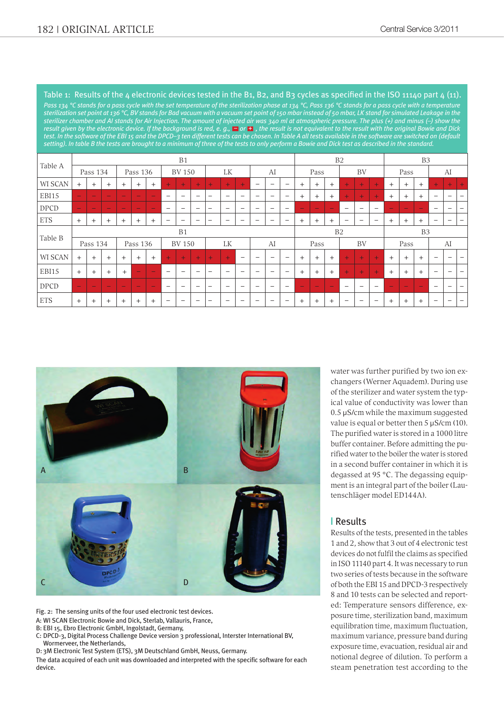Table 1: Results of the 4 electronic devices tested in the B1, B2, and B3 cycles as specified in the ISO 11140 part  $4$  (11). *Pass 134 °C stands for a pass cycle with the set temperature of the sterilization phase at 134 °C, Pass 136 °C stands for a pass cycle with a temperature sterilization set point at 136 °C, BV stands for Bad vacuum with a vacuum set point of 150 mbar instead of 50 mbar, LK stand for simulated Leakage in the sterilizer chamber and AI stands for Air Injection. The amount of injected air was 340 ml at atmospheric pressure. The plus (+) and minus (–) show the result given by the electronic device. If the background is red, e. g., – or + , the result is not equivalent to the result with the original Bowie and Dick test. In the software of the EBI 15 and the DPCD–3 ten different tests can be chosen. In Table A all tests available in the software are switched on (default setting). In table B the tests are brought to a minimum of three of the tests to only perform a Bowie and Dick test as described in the standard.*  $\equiv$  or  $\pm$ 

|            | B1                       |        |                          |                          |               |                          |                          |                          |                          |                          |                          |                          | B2                       |                              |                          |        |                          | B <sub>3</sub>           |                          |                          |                          |        |        |        |                          |                          |                          |
|------------|--------------------------|--------|--------------------------|--------------------------|---------------|--------------------------|--------------------------|--------------------------|--------------------------|--------------------------|--------------------------|--------------------------|--------------------------|------------------------------|--------------------------|--------|--------------------------|--------------------------|--------------------------|--------------------------|--------------------------|--------|--------|--------|--------------------------|--------------------------|--------------------------|
| Table A    | Pass 134                 |        | Pass 136                 |                          | <b>BV 150</b> |                          |                          | LK                       |                          | AI                       |                          | Pass                     |                          | BV                           |                          |        | Pass                     |                          |                          | AI                       |                          |        |        |        |                          |                          |                          |
| WI SCAN    | $+$                      | $^{+}$ | $+$                      | $+$                      | $^{+}$        | $+$                      | $+$                      | $+$                      | $+$                      | $+$                      | $+$                      | $\pm$                    | $\qquad \qquad -$        | $\overline{\phantom{0}}$     | $\qquad \qquad -$        | $^{+}$ | $+$                      | $+$                      | $+$                      | $+$                      | $+$                      | $+$    | $+$    | $+$    | $+$                      | +                        |                          |
| EBI15      | $\overline{\phantom{0}}$ | -      | $\overline{\phantom{a}}$ | $\overline{\phantom{0}}$ | -             | $\overline{\phantom{a}}$ | $\overline{\phantom{0}}$ | $\overline{\phantom{m}}$ | $\overline{\phantom{0}}$ | $\overline{\phantom{0}}$ | $\overline{\phantom{0}}$ | $\overline{\phantom{a}}$ | $\overline{\phantom{m}}$ | $\overline{\phantom{0}}$     | $\overline{\phantom{m}}$ | $+$    | $^{+}$                   | $+$                      | $+$                      | $+$                      | $+$                      | $+$    | $+$    | $+$    | $\overline{\phantom{m}}$ | $\overline{\phantom{0}}$ |                          |
| DPCD       | $\overline{\phantom{m}}$ |        | -                        |                          |               | -                        | -                        | $\overline{\phantom{m}}$ | $\overline{\phantom{0}}$ | $\overline{\phantom{0}}$ | $\overline{\phantom{m}}$ | $\overline{\phantom{0}}$ | $\overline{\phantom{m}}$ | $\overline{\phantom{a}}$     | $\overline{\phantom{a}}$ |        | $\overline{\phantom{0}}$ | -                        | $\overline{\phantom{0}}$ | $\overline{\phantom{0}}$ | $\overline{\phantom{0}}$ | -      | -      | -      | $\overline{\phantom{0}}$ | $\overline{\phantom{0}}$ |                          |
| <b>ETS</b> | $+$                      | $^{+}$ | $^{+}$                   | $+$                      | $+$           | $+$                      |                          | $\overline{\phantom{0}}$ | $\overline{\phantom{0}}$ | -                        | $\overline{\phantom{0}}$ |                          | $\overline{\phantom{0}}$ | $\overline{\phantom{0}}$     | $\overline{\phantom{0}}$ | $+$    | $+$                      | $+$                      | $\overline{\phantom{0}}$ | $\overline{\phantom{m}}$ |                          | $+$    | $+$    | $+$    | $\overline{\phantom{0}}$ | -                        |                          |
|            | B1                       |        |                          |                          |               |                          |                          |                          |                          |                          |                          | B2                       |                          |                              |                          |        | B <sub>3</sub>           |                          |                          |                          |                          |        |        |        |                          |                          |                          |
| Table B    | Pass 134                 |        |                          | Pass 136                 |               | <b>BV 150</b>            |                          | LK                       |                          | AI                       |                          | Pass                     |                          | BV                           |                          | Pass   |                          | AI                       |                          |                          |                          |        |        |        |                          |                          |                          |
| WI SCAN    | $+$                      | $+$    | $+$                      | $^{+}$                   | $^{+}$        | $+$                      | $+$                      | $+$                      | $+$                      | $+$                      | $+$                      | $\qquad \qquad$          | $\qquad \qquad -$        | $\qquad \qquad \blacksquare$ | $\qquad \qquad -$        | $+$    | $+$                      | $+$                      | $+$                      | $+$                      | $+$                      | $+$    | $+$    | $^{+}$ | $\overline{\phantom{0}}$ | $\overline{\phantom{0}}$ |                          |
| EBI15      | $+$                      | $^{+}$ | $^{+}$                   | $+$                      | -             | $\overline{\phantom{m}}$ | -                        | $\overline{\phantom{m}}$ | $\overline{\phantom{a}}$ | -                        | $\overline{\phantom{0}}$ | $\overline{\phantom{a}}$ | $\overline{\phantom{a}}$ | $\overline{\phantom{0}}$     | $\overline{\phantom{m}}$ | $+$    | $+$                      | $+$                      | $+$                      | $+$                      | $\pm$                    | $+$    | $+$    | $+$    | $\overline{\phantom{m}}$ | $\overline{\phantom{0}}$ | $\overline{\phantom{0}}$ |
| DPCD       | $\overline{\phantom{m}}$ |        |                          |                          |               | $\overline{\phantom{m}}$ | ۰                        | -                        | $\overline{\phantom{0}}$ | -                        | -                        |                          | $\overline{\phantom{0}}$ | $\overline{\phantom{0}}$     | $\overline{\phantom{0}}$ | -      | -                        | $\overline{\phantom{0}}$ | $\overline{\phantom{0}}$ | $\overline{\phantom{0}}$ | $\overline{\phantom{0}}$ | -      |        |        |                          | $\overline{\phantom{0}}$ |                          |
| <b>ETS</b> | $+$                      | $^{+}$ | $^{+}$                   | $^{+}$                   | $^{+}$        | $+$                      |                          |                          |                          | -                        |                          |                          | $\overline{\phantom{0}}$ |                              |                          | $+$    | $^{+}$                   | $+$                      |                          | -                        |                          | $^{+}$ | $^{+}$ | $^{+}$ |                          |                          |                          |



Fig. 2: The sensing units of the four used electronic test devices.

A: WI SCAN Electronic Bowie and Dick, Sterlab, Vallauris, France,

B: EBI 15, Ebro Electronic GmbH, Ingolstadt, Germany,

C: DPCD-3, Digital Process Challenge Device version 3 professional, Interster International BV, Wormerveer, the Netherlands,

D: 3M Electronic Test System (ETS), 3M Deutschland GmbH, Neuss, Germany.

The data acquired of each unit was downloaded and interpreted with the specific software for each device.

water was further purified by two ion exchangers (Werner Aquadem). During use of the sterilizer and water system the typical value of conductivity was lower than 0.5 µS/cm while the maximum suggested value is equal or better then  $5 \mu$ S/cm (10). The purified water is stored in a 1000 litre buffer container. Before admitting the purified water to the boiler the water is stored in a second buffer container in which it is degassed at 95 °C. The degassing equipment is an integral part of the boiler (Lautenschläger model ED144A).

### **|** Results

Results of the tests, presented in the tables 1 and 2, show that 3 out of 4 electronic test devices do not fulfil the claims as specified in ISO 11140 part 4. It was necessary to run two series of tests because in the software of both the EBI 15 and DPCD-3 respectively 8 and 10 tests can be selected and reported: Temperature sensors difference, exposure time, sterilization band, maximum equilibration time, maximum fluctuation, maximum variance, pressure band during exposure time, evacuation, residual air and notional degree of dilution. To perform a steam penetration test according to the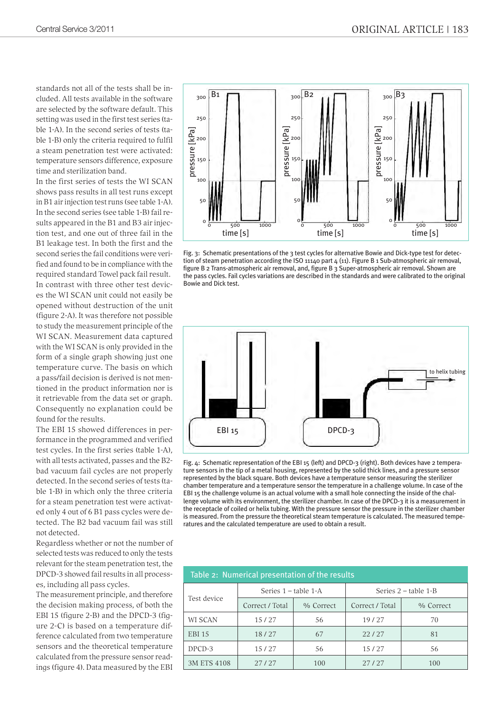standards not all of the tests shall be included. All tests available in the software are selected by the software default. This setting was used in the first test series (table 1-A). In the second series of tests (table 1-B) only the criteria required to fulfil a steam penetration test were activated: temperature sensors difference, exposure time and sterilization band.

In the first series of tests the WI SCAN shows pass results in all test runs except in B1 air injection test runs (see table 1-A). In the second series (see table 1-B) fail results appeared in the B1 and B3 air injection test, and one out of three fail in the B1 leakage test. In both the first and the second series the fail conditions were verified and found to be in compliance with the required standard Towel pack fail result. In contrast with three other test devices the WI SCAN unit could not easily be opened without destruction of the unit (figure 2-A). It was therefore not possible to study the measurement principle of the WI SCAN. Measurement data captured with the WI SCAN is only provided in the form of a single graph showing just one temperature curve. The basis on which a pass/fail decision is derived is not mentioned in the product information nor is it retrievable from the data set or graph. Consequently no explanation could be found for the results.

The EBI 15 showed differences in performance in the programmed and verified test cycles. In the first series (table 1-A), with all tests activated, passes and the B2 bad vacuum fail cycles are not properly detected. In the second series of tests (table 1-B) in which only the three criteria for a steam penetration test were activated only 4 out of 6 B1 pass cycles were detected. The B2 bad vacuum fail was still not detected.

Regardless whether or not the number of selected tests was reduced to only the tests relevant for the steam penetration test, the DPCD-3 showed fail results in all processes, including all pass cycles.

The measurement principle, and therefore the decision making process, of both the EBI 15 (figure 2-B) and the DPCD-3 (figure 2-C) is based on a temperature difference calculated from two temperature sensors and the theoretical temperature calculated from the pressure sensor readings (figure 4). Data measured by the EBI



Fig. 3: Schematic presentations of the 3 test cycles for alternative Bowie and Dick-type test for detection of steam penetration according the ISO 11140 part 4 (11). Figure B 1 Sub-atmospheric air removal, figure B 2 Trans-atmospheric air removal, and, figure B 3 Super-atmospheric air removal. Shown are the pass cycles. Fail cycles variations are described in the standards and were calibrated to the original Bowie and Dick test.



Fig. 4: Schematic representation of the EBI 15 (left) and DPCD-3 (right). Both devices have 2 temperature sensors in the tip of a metal housing, represented by the solid thick lines, and a pressure sensor represented by the black square. Both devices have a temperature sensor measuring the sterilizer chamber temperature and a temperature sensor the temperature in a challenge volume. In case of the EBI 15 the challenge volume is an actual volume with a small hole connecting the inside of the challenge volume with its environment, the sterilizer chamber. In case of the DPCD-3 it is a measurement in the receptacle of coiled or helix tubing. With the pressure sensor the pressure in the sterilizer chamber is measured. From the pressure the theoretical steam temperature is calculated. The measured temperatures and the calculated temperature are used to obtain a result.

| Table 2: Numerical presentation of the results |                        |           |                        |           |  |  |  |  |  |  |
|------------------------------------------------|------------------------|-----------|------------------------|-----------|--|--|--|--|--|--|
|                                                | Series $1 -$ table 1-A |           | Series $2$ – table 1-B |           |  |  |  |  |  |  |
| Test device                                    | Correct / Total        | % Correct | Correct / Total        | % Correct |  |  |  |  |  |  |
| <b>WI SCAN</b>                                 | 15/27                  | 56        | 19/27                  | 70        |  |  |  |  |  |  |
| <b>EBI 15</b>                                  | 18/27                  | 67        | 22/27                  | 81        |  |  |  |  |  |  |
| DPCD-3                                         | 15/27                  | 56        | 15/27                  | 56        |  |  |  |  |  |  |
| 3M ETS 4108                                    | 27/27                  | 100       | 27/27                  | 100       |  |  |  |  |  |  |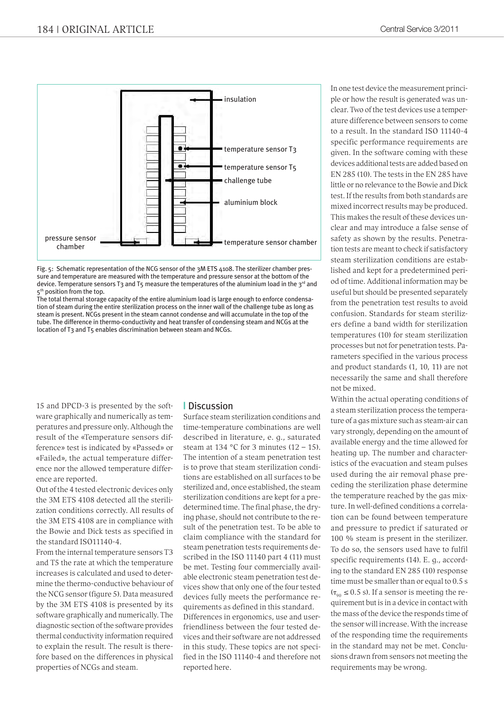

Fig. 5: Schematic representation of the NCG sensor of the 3M ETS 4108. The sterilizer chamber pressure and temperature are measured with the temperature and pressure sensor at the bottom of the device. Temperature sensors T3 and T5 measure the temperatures of the aluminium load in the 3<sup>rd</sup> and 5<sup>th</sup> position from the top.

The total thermal storage capacity of the entire aluminium load is large enough to enforce condensation of steam during the entire sterilization process on the inner wall of the challenge tube as long as steam is present. NCGs present in the steam cannot condense and will accumulate in the top of the tube. The difference in thermo-conductivity and heat transfer of condensing steam and NCGs at the location of T3 and T5 enables discrimination between steam and NCGs.

15 and DPCD-3 is presented by the software graphically and numerically as temperatures and pressure only. Although the result of the «Temperature sensors difference» test is indicated by «Passed» or «Failed», the actual temperature difference nor the allowed temperature difference are reported.

Out of the 4 tested electronic devices only the 3M ETS 4108 detected all the sterilization conditions correctly. All results of the 3M ETS 4108 are in compliance with the Bowie and Dick tests as specified in the standard ISO11140-4.

From the internal temperature sensors T3 and T5 the rate at which the temperature increases is calculated and used to determine the thermo-conductive behaviour of the NCG sensor (figure 5). Data measured by the 3M ETS 4108 is presented by its software graphically and numerically. The diagnostic section of the software provides thermal conductivity information required to explain the result. The result is therefore based on the differences in physical properties of NCGs and steam.

### **|** Discussion

Surface steam sterilization conditions and time-temperature combinations are well described in literature, e. g., saturated steam at 134 °C for 3 minutes  $(12 – 15)$ . The intention of a steam penetration test is to prove that steam sterilization conditions are established on all surfaces to be sterilized and, once established, the steam sterilization conditions are kept for a predetermined time. The final phase, the drying phase, should not contribute to the result of the penetration test. To be able to claim compliance with the standard for steam penetration tests requirements described in the ISO 11140 part 4 (11) must be met. Testing four commercially available electronic steam penetration test devices show that only one of the four tested devices fully meets the performance requirements as defined in this standard. Differences in ergonomics, use and userfriendliness between the four tested devices and their software are not addressed in this study. These topics are not specified in the ISO 11140-4 and therefore not reported here.

In one test device the measurement principle or how the result is generated was unclear. Two of the test devices use a temperature difference between sensors to come to a result. In the standard ISO 11140-4 specific performance requirements are given. In the software coming with these devices additional tests are added based on EN 285 (10). The tests in the EN 285 have little or no relevance to the Bowie and Dick test. If the results from both standards are mixed incorrect results may be produced. This makes the result of these devices unclear and may introduce a false sense of safety as shown by the results. Penetration tests are meant to check if satisfactory steam sterilization conditions are established and kept for a predetermined period of time. Additional information may be useful but should be presented separately from the penetration test results to avoid confusion. Standards for steam sterilizers define a band width for sterilization temperatures (10) for steam sterilization processes but not for penetration tests. Parameters specified in the various process and product standards (1, 10, 11) are not necessarily the same and shall therefore not be mixed.

Within the actual operating conditions of a steam sterilization process the temperature of a gas mixture such as steam-air can vary strongly, depending on the amount of available energy and the time allowed for heating up. The number and characteristics of the evacuation and steam pulses used during the air removal phase preceding the sterilization phase determine the temperature reached by the gas mixture. In well-defined conditions a correlation can be found between temperature and pressure to predict if saturated or 100 % steam is present in the sterilizer. To do so, the sensors used have to fulfil specific requirements (14). E. g., according to the standard EN 285 (10) response time must be smaller than or equal to 0.5 s  $(\tau_{90} \le 0.5 \text{ s})$ . If a sensor is meeting the requirement but is in a device in contact with the mass of the device the responds time of the sensor will increase. With the increase of the responding time the requirements in the standard may not be met. Conclusions drawn from sensors not meeting the requirements may be wrong.